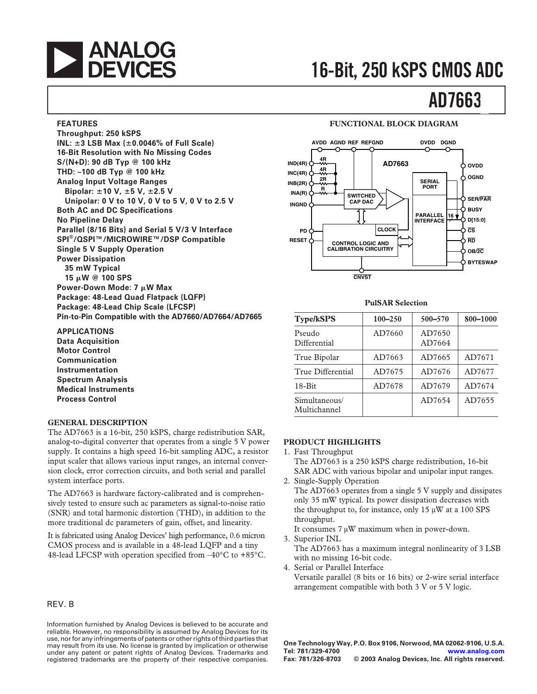

#### **FEATURES**

**Throughput: 250 kSPS INL: 3 LSB Max (0.0046% of Full Scale) 16-Bit Resolution with No Missing Codes S/(N+D): 90 dB Typ @ 100 kHz THD: –100 dB Typ @ 100 kHz Analog Input Voltage Ranges Bipolar: 10 V, 5 V, 2.5 V Unipolar: 0 V to 10 V, 0 V to 5 V, 0 V to 2.5 V Both AC and DC Specifications No Pipeline Delay Parallel (8/16 Bits) and Serial 5 V/3 V Interface SPI®/QSPI™/MICROWIRE™/DSP Compatible Single 5 V Supply Operation Power Dissipation 35 mW Typical 15** -**W @ 100 SPS Power-Down Mode: 7 μW Max Package: 48-Lead Quad Flatpack (LQFP) Package: 48-Lead Chip Scale (LFCSP) Pin-to-Pin Compatible with the AD7660/AD7664/AD7665**

**APPLICATIONS Data Acquisition Motor Control Communication Instrumentation Spectrum Analysis**

**Medical Instruments Process Control**

#### **GENERAL DESCRIPTION**

The AD7663 is a 16-bit, 250 kSPS, charge redistribution SAR, analog-to-digital converter that operates from a single 5 V power supply. It contains a high speed 16-bit sampling ADC, a resistor input scaler that allows various input ranges, an internal conversion clock, error correction circuits, and both serial and parallel system interface ports.

The AD7663 is hardware factory-calibrated and is comprehensively tested to ensure such ac parameters as signal-to-noise ratio (SNR) and total harmonic distortion (THD), in addition to the more traditional dc parameters of gain, offset, and linearity.

It is fabricated using Analog Devices' high performance, 0.6 micron CMOS process and is available in a 48-lead LQFP and a tiny 48-lead LFCSP with operation specified from –40°C to +85°C.

#### REV. B

Information furnished by Analog Devices is believed to be accurate and reliable. However, no responsibility is assumed by Analog Devices for its use, nor for any infringements of patents or other rights of third parties that may result from its use. No license is granted by implication or otherwise under any patent or patent rights of Analog Devices. Trademarks and registered trademarks are the property of their respective companies.

#### **FUNCTIONAL BLOCK DIAGRAM**



#### **PulSAR Selection**

| <b>Type/kSPS</b>              | $100 - 250$ | $500 - 570$      | 800-1000 |
|-------------------------------|-------------|------------------|----------|
| Pseudo<br>Differential        | AD7660      | AD7650<br>AD7664 |          |
| True Bipolar                  | AD7663      | AD7665           | AD7671   |
| True Differential             | AD7675      | AD7676           | AD7677   |
| $18 - Bit$                    | AD7678      | AD7679           | AD7674   |
| Simultaneous/<br>Multichannel |             | AD7654           | AD7655   |

#### **PRODUCT HIGHLIGHTS**

- 1. Fast Throughput The AD7663 is a 250 kSPS charge redistribution, 16-bit SAR ADC with various bipolar and unipolar input ranges.
- 2. Single-Supply Operation

The AD7663 operates from a single 5 V supply and dissipates only 35 mW typical. Its power dissipation decreases with the throughput to, for instance, only 15 µW at a 100 SPS throughput.

It consumes 7 µW maximum when in power-down.

- 3. Superior INL The AD7663 has a maximum integral nonlinearity of 3 LSB with no missing 16-bit code.
- 4. Serial or Parallel Interface Versatile parallel (8 bits or 16 bits) or 2-wire serial interface arrangement compatible with both 3 V or 5 V logic.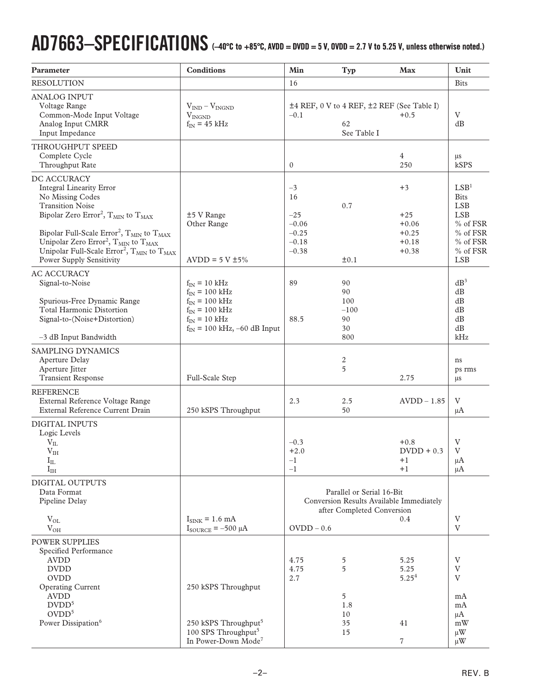# **AD7663–SPECIFICATIONS (–40C to +85C, AVDD = DVDD = 5 V, OVDD = 2.7 V to 5.25 V, unless otherwise noted.)**

| Parameter                                                                                                                                                                                                                                                                                                                                                                                                                                | <b>Conditions</b>                                                                                                                            | $\mathbf{Min}$                                                  | <b>Typ</b>                                                                                          | Max                                                       | Unit                                                                                                               |
|------------------------------------------------------------------------------------------------------------------------------------------------------------------------------------------------------------------------------------------------------------------------------------------------------------------------------------------------------------------------------------------------------------------------------------------|----------------------------------------------------------------------------------------------------------------------------------------------|-----------------------------------------------------------------|-----------------------------------------------------------------------------------------------------|-----------------------------------------------------------|--------------------------------------------------------------------------------------------------------------------|
| <b>RESOLUTION</b>                                                                                                                                                                                                                                                                                                                                                                                                                        |                                                                                                                                              | 16                                                              |                                                                                                     |                                                           | <b>Bits</b>                                                                                                        |
| <b>ANALOG INPUT</b><br>Voltage Range<br>Common-Mode Input Voltage<br>Analog Input CMRR<br>Input Impedance                                                                                                                                                                                                                                                                                                                                | $V_{IND} - V_{INGND}$<br>$V_{INGND}$<br>$f_{IN}$ = 45 kHz                                                                                    | $-0.1$                                                          | ±4 REF, 0 V to 4 REF, ±2 REF (See Table I)<br>62<br>See Table I                                     | $+0.5$                                                    | V<br>dB                                                                                                            |
| THROUGHPUT SPEED<br>Complete Cycle<br>Throughput Rate                                                                                                                                                                                                                                                                                                                                                                                    |                                                                                                                                              | $\mathbf{0}$                                                    |                                                                                                     | 4<br>250                                                  | μs<br>kSPS                                                                                                         |
| DC ACCURACY<br><b>Integral Linearity Error</b><br>No Missing Codes<br><b>Transition Noise</b><br>Bipolar Zero Error <sup>2</sup> , T <sub>MIN</sub> to T <sub>MAX</sub><br>Bipolar Full-Scale Error <sup>2</sup> , $T_{MIN}$ to $T_{MAX}$<br>Unipolar Zero Error <sup>2</sup> , T <sub>MIN</sub> to T <sub>MAX</sub><br>Unipolar Full-Scale Error <sup>2</sup> , T <sub>MIN</sub> to T <sub>MAX</sub><br><b>Power Supply Sensitivity</b> | ±5 V Range<br>Other Range<br>AVDD = $5 \text{ V} \pm 5\%$                                                                                    | $-3$<br>16<br>$-25$<br>$-0.06$<br>$-0.25$<br>$-0.18$<br>$-0.38$ | 0.7<br>±0.1                                                                                         | $+3$<br>$+25$<br>$+0.06$<br>$+0.25$<br>$+0.18$<br>$+0.38$ | LSB <sup>1</sup><br><b>Bits</b><br>LSB<br><b>LSB</b><br>% of FSR<br>% of FSR<br>% of FSR<br>% of FSR<br><b>LSB</b> |
| <b>AC ACCURACY</b><br>Signal-to-Noise<br>Spurious-Free Dynamic Range<br><b>Total Harmonic Distortion</b><br>Signal-to-(Noise+Distortion)                                                                                                                                                                                                                                                                                                 | $f_{IN}$ = 10 kHz<br>$f_{IN}$ = 100 kHz<br>$f_{IN}$ = 100 kHz<br>$f_{IN}$ = 100 kHz<br>$f_{IN}$ = 10 kHz<br>$f_{IN}$ = 100 kHz, -60 dB Input | 89<br>88.5                                                      | 90<br>90<br>100<br>$-100$<br>90<br>30                                                               |                                                           | $dB^3$<br>dB<br>dB<br>dB<br>dB<br>dB                                                                               |
| -3 dB Input Bandwidth                                                                                                                                                                                                                                                                                                                                                                                                                    |                                                                                                                                              |                                                                 | 800                                                                                                 |                                                           | kHz                                                                                                                |
| SAMPLING DYNAMICS<br>Aperture Delay<br>Aperture Jitter<br><b>Transient Response</b>                                                                                                                                                                                                                                                                                                                                                      | Full-Scale Step                                                                                                                              |                                                                 | 2<br>5                                                                                              | 2.75                                                      | ns<br>ps rms<br>$\mu$ s                                                                                            |
| <b>REFERENCE</b><br>External Reference Voltage Range<br>External Reference Current Drain                                                                                                                                                                                                                                                                                                                                                 | 250 kSPS Throughput                                                                                                                          | 2.3                                                             | 2.5<br>50                                                                                           | $AVDD - 1.85$                                             | V<br>μA                                                                                                            |
| DIGITAL INPUTS<br>Logic Levels<br>$\rm V_{II}$<br>V <sub>IH</sub><br>$I_{IL}$<br>$I_{IH}$                                                                                                                                                                                                                                                                                                                                                |                                                                                                                                              | $-0.3$<br>$+2.0$<br>$^{-1}$<br>$-1$                             |                                                                                                     | $+0.8$<br>$D VDD + 0.3$<br>$+1$<br>$+1$                   | V<br>V<br>μA<br>μA                                                                                                 |
| DIGITAL OUTPUTS<br>Data Format<br>Pipeline Delay<br>$V_{OL}$<br>$V_{OH}$                                                                                                                                                                                                                                                                                                                                                                 | $I_{\text{SINK}}$ = 1.6 mA<br>$I_{\text{SOURCE}} = -500 \mu A$                                                                               | $OVDD - 0.6$                                                    | Parallel or Serial 16-Bit<br>Conversion Results Available Immediately<br>after Completed Conversion | $0.4\,$                                                   | V<br>V                                                                                                             |
| POWER SUPPLIES<br>Specified Performance<br><b>AVDD</b><br><b>DVDD</b><br><b>OVDD</b><br><b>Operating Current</b><br><b>AVDD</b><br>DVDD <sup>5</sup><br>$\text{OVDD}^5$<br>Power Dissipation <sup>6</sup>                                                                                                                                                                                                                                | 250 kSPS Throughput<br>250 kSPS Throughput <sup>5</sup><br>100 SPS Throughput <sup>5</sup><br>In Power-Down Mode <sup>7</sup>                | 4.75<br>4.75<br>2.7                                             | 5<br>5<br>5<br>1.8<br>10<br>35<br>15                                                                | 5.25<br>5.25<br>$5.25^{4}$<br>41<br>$\overline{7}$        | V<br>V<br>V<br>mA<br>mA<br>μA<br>mW<br>$\mu$ W<br>$\mu$ W                                                          |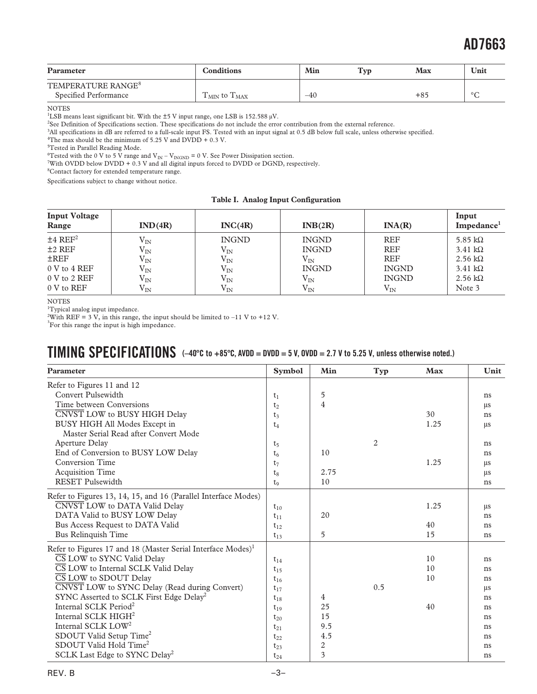| Parameter                                               | <b>Conditions</b>                    | Min   | Typ | Max   | Unit    |
|---------------------------------------------------------|--------------------------------------|-------|-----|-------|---------|
| TEMPERATURE RANGE <sup>8</sup><br>Specified Performance | $T_{\text{MIN}}$ to $T_{\text{MAX}}$ | $-40$ |     | $+85$ | $\circ$ |

NOTES

<sup>1</sup>LSB means least significant bit. With the  $\pm$ 5 V input range, one LSB is 152.588  $\mu$ V.

<sup>2</sup>See Definition of Specifications section. These specifications do not include the error contribution from the external reference.

3 All specifications in dB are referred to a full-scale input FS. Tested with an input signal at 0.5 dB below full scale, unless otherwise specified.

<sup>4</sup>The max should be the minimum of 5.25 V and DVDD + 0.3 V.

5 Tested in Parallel Reading Mode.

<sup>6</sup>Tested with the 0 V to 5 V range and  $V_{IN} - V_{INGND} = 0$  V. See Power Dissipation section.

7 With OVDD below DVDD + 0.3 V and all digital inputs forced to DVDD or DGND, respectively.

<sup>8</sup>Contact factory for extended temperature range.

Specifications subject to change without notice.

|  |  |  | Table I. Analog Input Configuration |
|--|--|--|-------------------------------------|
|--|--|--|-------------------------------------|

| <b>Input Voltage</b><br>Range | IND(4R)      | INC(4R)      | INB(2R)      | INA(R)       | Input<br>Impedance <sup>1</sup> |
|-------------------------------|--------------|--------------|--------------|--------------|---------------------------------|
| $±4$ REF <sup>2</sup>         | $\rm V_{IN}$ | <b>INGND</b> | <b>INGND</b> | <b>REF</b>   | 5.85 k $\Omega$                 |
| $±2$ REF                      | $\rm V_{IN}$ | $\rm V_{IN}$ | <b>INGND</b> | <b>REF</b>   | $3.41 \text{ k}\Omega$          |
| $\pm$ REF                     | $\rm V_{IN}$ | $\rm V_{IN}$ | $\rm V_{IN}$ | <b>REF</b>   | $2.56 \text{ k}\Omega$          |
| $0 V$ to $4 REF$              | $\rm V_{IN}$ | $\rm V_{IN}$ | <b>INGND</b> | <b>INGND</b> | $3.41 \text{ k}\Omega$          |
| $0 V$ to 2 REF                | $\rm V_{IN}$ | $\rm V_{IN}$ | $\rm V_{IN}$ | <b>INGND</b> | $2.56 \text{ k}\Omega$          |
| 0 V to REF                    | $\rm V_{IN}$ | $\rm V_{IN}$ | $V_{IN}$     | $\rm V_{IN}$ | Note 3                          |

#### **NOTES**

<sup>1</sup>Typical analog input impedance.

<sup>2</sup>With REF = 3 V, in this range, the input should be limited to –11 V to +12 V.

<sup>3</sup>For this range the input is high impedance.

### **TIMING SPECIFICATIONS**  $(-40^{\circ}C \text{ to } +85^{\circ}C, \text{AVDD} = \text{DVDD} = 5 \text{ V}, \text{OVDD} = 2.7 \text{ V to } 5.25 \text{ V}, \text{ unless otherwise noted.)}$

| Parameter                                                               | <b>Symbol</b>  | Min  | Typ            | <b>Max</b> | Unit    |
|-------------------------------------------------------------------------|----------------|------|----------------|------------|---------|
| Refer to Figures 11 and 12                                              |                |      |                |            |         |
| Convert Pulsewidth                                                      | $t_1$          | 5    |                |            | ns      |
| Time between Conversions                                                | t <sub>2</sub> | 4    |                |            | $\mu s$ |
| CNVST LOW to BUSY HIGH Delay                                            | $t_3$          |      |                | 30         | ns      |
| BUSY HIGH All Modes Except in                                           | $t_4$          |      |                | 1.25       | $\mu s$ |
| Master Serial Read after Convert Mode                                   |                |      |                |            |         |
| Aperture Delay                                                          | $t_5$          |      | $\overline{2}$ |            | ns      |
| End of Conversion to BUSY LOW Delay                                     | t <sub>6</sub> | 10   |                |            | ns      |
| <b>Conversion Time</b>                                                  | $t_7$          |      |                | 1.25       | $\mu$ s |
| <b>Acquisition Time</b>                                                 | $t_8$          | 2.75 |                |            | $\mu s$ |
| <b>RESET Pulsewidth</b>                                                 | t <sub>9</sub> | 10   |                |            | ns      |
| Refer to Figures 13, 14, 15, and 16 (Parallel Interface Modes)          |                |      |                |            |         |
| CNVST LOW to DATA Valid Delay                                           | $t_{10}$       |      |                | 1.25       | $\mu s$ |
| DATA Valid to BUSY LOW Delay                                            | $t_{11}$       | 20   |                |            | ns      |
| Bus Access Request to DATA Valid                                        | $t_{12}$       |      |                | 40         | ns      |
| Bus Relinquish Time                                                     | $t_{13}$       | 5    |                | 15         | ns      |
| Refer to Figures 17 and 18 (Master Serial Interface Modes) <sup>1</sup> |                |      |                |            |         |
| CS LOW to SYNC Valid Delay                                              | $t_{14}$       |      |                | 10         | ns      |
| CS LOW to Internal SCLK Valid Delay                                     | $t_{15}$       |      |                | 10         | ns      |
| CS LOW to SDOUT Delay                                                   | $t_{16}$       |      |                | 10         | ns      |
| CNVST LOW to SYNC Delay (Read during Convert)                           | $t_{17}$       |      | 0.5            |            | $\mu$ s |
| SYNC Asserted to SCLK First Edge Delay <sup>2</sup>                     | $t_{18}$       | 4    |                |            | ns      |
| Internal SCLK Period <sup>2</sup>                                       | $t_{19}$       | 25   |                | 40         | ns      |
| Internal SCLK HIGH <sup>2</sup>                                         | $t_{20}$       | 15   |                |            | ns      |
| Internal SCLK LOW <sup>2</sup>                                          | $t_{21}$       | 9.5  |                |            | ns      |
| SDOUT Valid Setup Time <sup>2</sup>                                     | $t_{22}$       | 4.5  |                |            | ns      |
| SDOUT Valid Hold Time <sup>2</sup>                                      | $t_{23}$       | 2    |                |            | ns      |
| SCLK Last Edge to SYNC Delay <sup>2</sup>                               | $t_{24}$       | 3    |                |            | ns      |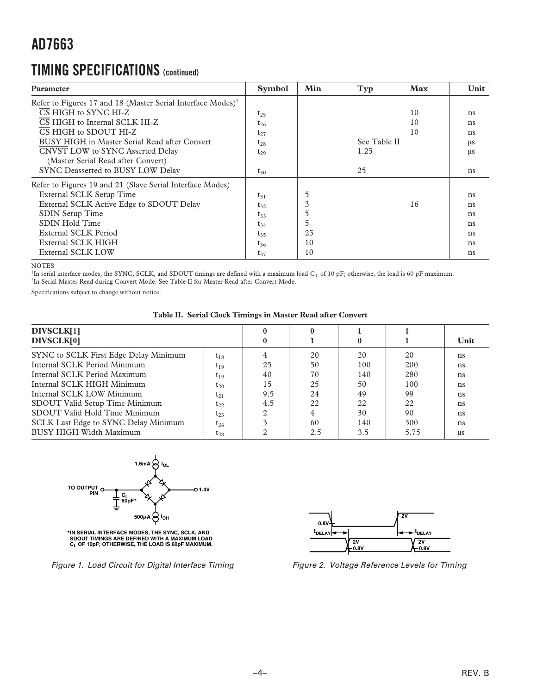### **TIMING SPECIFICATIONS (continued)**

| Parameter                                                               | <b>Symbol</b> | Min | Typ          | Max | Unit    |
|-------------------------------------------------------------------------|---------------|-----|--------------|-----|---------|
| Refer to Figures 17 and 18 (Master Serial Interface Modes) <sup>1</sup> |               |     |              |     |         |
| $\overline{\text{CS}}$ HIGH to SYNC HI-Z                                | $t_{25}$      |     |              | 10  | ns      |
| $\overline{\text{CS}}$ HIGH to Internal SCLK HI-Z                       | $t_{26}$      |     |              | 10  | ns      |
| CS HIGH to SDOUT HI-Z                                                   | $t_{27}$      |     |              | 10  | ns      |
| BUSY HIGH in Master Serial Read after Convert                           | $t_{28}$      |     | See Table II |     | $\mu s$ |
| CNVST LOW to SYNC Asserted Delay                                        | $t_{29}$      |     | 1.25         |     | $\mu s$ |
| (Master Serial Read after Convert)                                      |               |     |              |     |         |
| SYNC Deasserted to BUSY LOW Delay                                       | $t_{30}$      |     | 25           |     | ns      |
| Refer to Figures 19 and 21 (Slave Serial Interface Modes)               |               |     |              |     |         |
| External SCLK Setup Time                                                | $t_{31}$      | 5   |              |     | ns      |
| External SCLK Active Edge to SDOUT Delay                                | $t_{32}$      | 3   |              | 16  | ns      |
| <b>SDIN Setup Time</b>                                                  | $t_{33}$      |     |              |     | ns      |
| SDIN Hold Time                                                          | $t_{34}$      | 5   |              |     | ns      |
| External SCLK Period                                                    | $t_{35}$      | 25  |              |     | ns      |
| External SCLK HIGH                                                      | $t_{36}$      | 10  |              |     | ns      |
| <b>External SCLK LOW</b>                                                | $t_{37}$      | 10  |              |     | ns      |

NOTES

<sup>1</sup>In serial interface modes, the SYNC, SCLK, and SDOUT timings are defined with a maximum load C<sub>L</sub> of 10 pF; otherwise, the load is 60 pF maximum. <sup>2</sup>In Serial Master Read during Convert Mode. See Table II for Master Read after Convert Mode.

Specifications subject to change without notice.

| Table II. Serial Clock Timings in Master Read after Convert |  |  |  |  |
|-------------------------------------------------------------|--|--|--|--|
|                                                             |  |  |  |  |

| DIVSCLK[1]<br>DIVSCLK[0]              |          |     |     |     |      | Unit       |
|---------------------------------------|----------|-----|-----|-----|------|------------|
| SYNC to SCLK First Edge Delay Minimum | $t_{18}$ |     | 20  | 20  | 20   | ns         |
| Internal SCLK Period Minimum          | $t_{19}$ | 25  | 50  | 100 | 200  | ns         |
| Internal SCLK Period Maximum          | $t_{19}$ | 40  | 70  | 140 | 280  | ns         |
| Internal SCLK HIGH Minimum            | $t_{20}$ | 15  | 25  | 50  | 100  | ns         |
| Internal SCLK LOW Minimum             | $t_{21}$ | 9.5 | 24  | 49  | 99   | ns         |
| SDOUT Valid Setup Time Minimum        | $t_{22}$ | 4.5 | 22  | 22  | 22   | ns         |
| SDOUT Valid Hold Time Minimum         | $t_{23}$ |     |     | 30  | 90   | ns         |
| SCLK Last Edge to SYNC Delay Minimum  | $t_{24}$ |     | 60  | 140 | 300  | ns         |
| BUSY HIGH Width Maximum               | $t_{28}$ |     | 2.5 | 3.5 | 5.75 | <b>LLS</b> |



**\*IN SERIAL INTERFACE MODES, THE SYNC, SCLK, AND SDOUT TIMINGS ARE DEFINED WITH A MAXIMUM LOAD CL OF 10pF; OTHERWISE, THE LOAD IS 60pF MAXIMUM.**





Figure 2. Voltage Reference Levels for Timing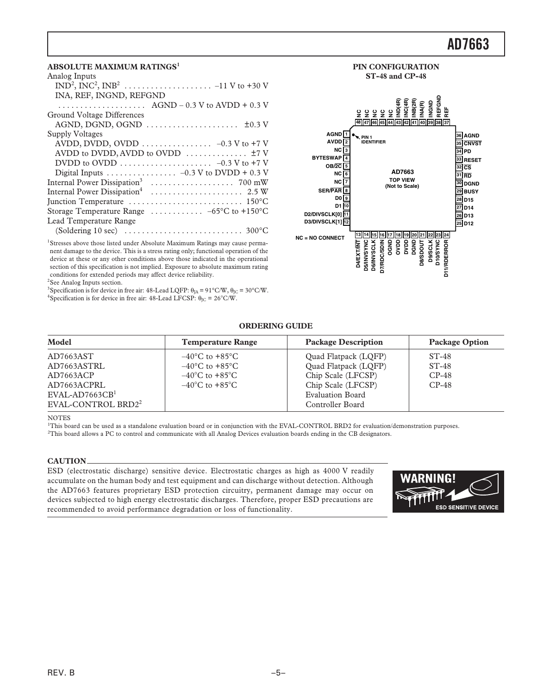#### **ABSOLUTE MAXIMUM RATINGS<sup>1</sup>**

| Analog Inputs                                                                    |
|----------------------------------------------------------------------------------|
|                                                                                  |
| INA, REF, INGND, REFGND                                                          |
| $\ldots \ldots \ldots \ldots \ldots$ AGND – 0.3 V to AVDD + 0.3 V                |
| Ground Voltage Differences                                                       |
| AGND, DGND, OGND $\dots \dots \dots \dots \dots \dots \dots \pm 0.3$ V           |
| Supply Voltages                                                                  |
|                                                                                  |
| AVDD to DVDD, AVDD to OVDD $\dots \dots \dots \dots \dots$                       |
| DVDD to OVDD $\dots \dots \dots \dots \dots \dots \dots \dots -0.3$ V to +7 V    |
|                                                                                  |
|                                                                                  |
| Internal Power Dissipation <sup>4</sup>                                          |
|                                                                                  |
| Storage Temperature Range $\ldots \ldots \ldots -65$ °C to +150°C                |
| Lead Temperature Range                                                           |
| (Soldering 10 sec) $\dots \dots \dots \dots \dots \dots \dots \dots \dots$ 300°C |
|                                                                                  |

<sup>1</sup>Stresses above those listed under Absolute Maximum Ratings may cause permanent damage to the device. This is a stress rating only; functional operation of the device at these or any other conditions above those indicated in the operational section of this specification is not implied. Exposure to absolute maximum rating conditions for extended periods may affect device reliability.

<sup>2</sup>See Analog Inputs section.

<sup>3</sup>Specification is for device in free air: 48-Lead LQFP:  $\theta_{IA} = 91^{\circ}$ C/W,  $\theta_{IC} = 30^{\circ}$ C/W.

<sup>4</sup>Specification is for device in free air: 48-Lead LFCSP:  $\theta_{\text{IC}} = 26^{\circ}$ C/W.

#### **36 AGND 35 CNVST 34 PD 33 RESET 32 CS 31 RD 30 DGND 29 BUSY 28 D15 27 D14 26 D13 25 13 14 15 16 17 18 19 20 21 22 23 24 1 AGND 2 AVDD 3 NC 4 5 OB/2C 6 NC 7 NC 8 9 10 D1 11 D2/DIVSCLK[0] 12 D3/DIVSCLK[1] D12 48 47 46 45 44 39 38 37 43 42 41 40 PIN 1 IDENTIFIER TOP VIEW (Not to Scale) BYTESWAP NC = NO CONNECT SER/PAR D0 AD7663 D4/EXT/INT D5/INVSYNC D6/INVSCLK D7/RDC/SDIN OGND OVDD DVDD DGND D8/SDOUT D9/SCLK D10/SYNC D11/RDERROR NCNCNCNCNCIND(4R) INC(4R) INB(2R) INA(R) INGND REFGND REF**

**PIN CONFIGURATION ST-48 and CP-48**

#### **ORDERING GUIDE**

| Model                                        | <b>Temperature Range</b>                                                 | <b>Package Description</b>                    | <b>Package Option</b> |
|----------------------------------------------|--------------------------------------------------------------------------|-----------------------------------------------|-----------------------|
| AD7663AST                                    | $-40^{\circ}$ C to $+85^{\circ}$ C                                       | Quad Flatpack (LQFP)                          | $ST-48$               |
| AD7663ASTRL<br>AD7663ACP                     | $-40^{\circ}$ C to $+85^{\circ}$ C<br>$-40^{\circ}$ C to $+85^{\circ}$ C | Quad Flatpack (LQFP)<br>Chip Scale (LFCSP)    | $ST-48$<br>$CP-48$    |
| AD7663ACPRL<br>$EVAL$ -AD7663CB <sup>1</sup> | $-40^{\circ}$ C to $+85^{\circ}$ C                                       | Chip Scale (LFCSP)<br><b>Evaluation Board</b> | $CP-48$               |
| EVAL-CONTROL BRD2 <sup>2</sup>               |                                                                          | Controller Board                              |                       |

NOTES

1 This board can be used as a standalone evaluation board or in conjunction with the EVAL-CONTROL BRD2 for evaluation/demonstration purposes. 2 This board allows a PC to control and communicate with all Analog Devices evaluation boards ending in the CB designators.

#### **CAUTION**

ESD (electrostatic discharge) sensitive device. Electrostatic charges as high as 4000 V readily accumulate on the human body and test equipment and can discharge without detection. Although the AD7663 features proprietary ESD protection circuitry, permanent damage may occur on devices subjected to high energy electrostatic discharges. Therefore, proper ESD precautions are recommended to avoid performance degradation or loss of functionality.

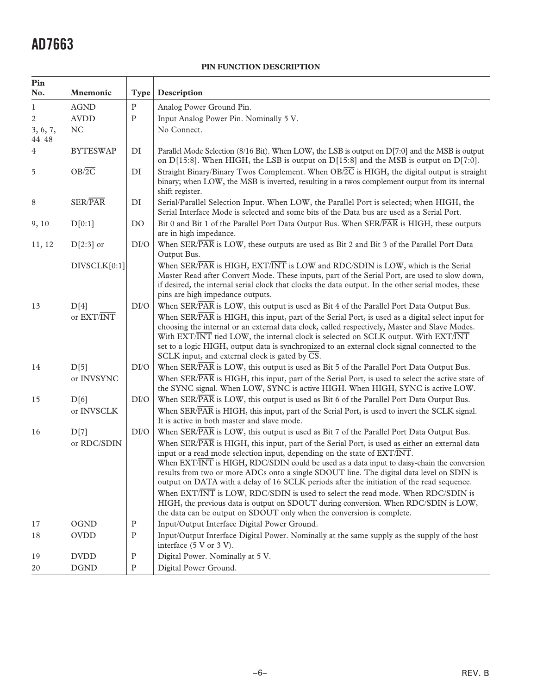#### **PIN FUNCTION DESCRIPTION**

| Pin                   |                     |                |                                                                                                                                                                                                                                                                                                                                                                                                                                                                                                                                                                                                                                                                                                                                                                                                                                                    |
|-----------------------|---------------------|----------------|----------------------------------------------------------------------------------------------------------------------------------------------------------------------------------------------------------------------------------------------------------------------------------------------------------------------------------------------------------------------------------------------------------------------------------------------------------------------------------------------------------------------------------------------------------------------------------------------------------------------------------------------------------------------------------------------------------------------------------------------------------------------------------------------------------------------------------------------------|
| No.                   | Mnemonic            | <b>Type</b>    | Description                                                                                                                                                                                                                                                                                                                                                                                                                                                                                                                                                                                                                                                                                                                                                                                                                                        |
| 1                     | <b>AGND</b>         | ${\bf P}$      | Analog Power Ground Pin.                                                                                                                                                                                                                                                                                                                                                                                                                                                                                                                                                                                                                                                                                                                                                                                                                           |
| 2                     | <b>AVDD</b>         | ${\bf P}$      | Input Analog Power Pin. Nominally 5 V.                                                                                                                                                                                                                                                                                                                                                                                                                                                                                                                                                                                                                                                                                                                                                                                                             |
| 3, 6, 7,<br>$44 - 48$ | $\rm NC$            |                | No Connect.                                                                                                                                                                                                                                                                                                                                                                                                                                                                                                                                                                                                                                                                                                                                                                                                                                        |
| $\overline{4}$        | <b>BYTESWAP</b>     | DI             | Parallel Mode Selection (8/16 Bit). When LOW, the LSB is output on D[7:0] and the MSB is output<br>on D[15:8]. When HIGH, the LSB is output on D[15:8] and the MSB is output on D[7:0].                                                                                                                                                                                                                                                                                                                                                                                                                                                                                                                                                                                                                                                            |
| 5                     | $OB/\overline{2C}$  | DI             | Straight Binary/Binary Twos Complement. When $OB/\overline{2C}$ is HIGH, the digital output is straight<br>binary; when LOW, the MSB is inverted, resulting in a twos complement output from its internal<br>shift register.                                                                                                                                                                                                                                                                                                                                                                                                                                                                                                                                                                                                                       |
| 8                     | <b>SER/PAR</b>      | DI             | Serial/Parallel Selection Input. When LOW, the Parallel Port is selected; when HIGH, the<br>Serial Interface Mode is selected and some bits of the Data bus are used as a Serial Port.                                                                                                                                                                                                                                                                                                                                                                                                                                                                                                                                                                                                                                                             |
| 9,10                  | D[0:1]              | D <sub>O</sub> | Bit 0 and Bit 1 of the Parallel Port Data Output Bus. When SER/PAR is HIGH, these outputs<br>are in high impedance.                                                                                                                                                                                                                                                                                                                                                                                                                                                                                                                                                                                                                                                                                                                                |
| 11, 12                | $D[2:3]$ or         | DI/O           | When SER/PAR is LOW, these outputs are used as Bit 2 and Bit 3 of the Parallel Port Data<br>Output Bus.                                                                                                                                                                                                                                                                                                                                                                                                                                                                                                                                                                                                                                                                                                                                            |
|                       | DIVSCLK[0:1]        |                | When SER/PAR is HIGH, EXT/INT is LOW and RDC/SDIN is LOW, which is the Serial<br>Master Read after Convert Mode. These inputs, part of the Serial Port, are used to slow down,<br>if desired, the internal serial clock that clocks the data output. In the other serial modes, these<br>pins are high impedance outputs.                                                                                                                                                                                                                                                                                                                                                                                                                                                                                                                          |
| 13                    | D[4]<br>or EXT/INT  | DI/O           | When SER/PAR is LOW, this output is used as Bit 4 of the Parallel Port Data Output Bus.<br>When $SER\overline{PAR}$ is HIGH, this input, part of the Serial Port, is used as a digital select input for<br>choosing the internal or an external data clock, called respectively, Master and Slave Modes.<br>With EXT/INT tied LOW, the internal clock is selected on SCLK output. With EXT/INT<br>set to a logic HIGH, output data is synchronized to an external clock signal connected to the<br>SCLK input, and external clock is gated by $\overline{CS}$ .                                                                                                                                                                                                                                                                                    |
| 14                    | D[5]<br>or INVSYNC  | DI/O           | When SER/PAR is LOW, this output is used as Bit 5 of the Parallel Port Data Output Bus.<br>When SER/PAR is HIGH, this input, part of the Serial Port, is used to select the active state of<br>the SYNC signal. When LOW, SYNC is active HIGH. When HIGH, SYNC is active LOW.                                                                                                                                                                                                                                                                                                                                                                                                                                                                                                                                                                      |
| 15                    | D[6]<br>or INVSCLK  | $\rm DI/O$     | When SER/PAR is LOW, this output is used as Bit 6 of the Parallel Port Data Output Bus.<br>When SER/PAR is HIGH, this input, part of the Serial Port, is used to invert the SCLK signal.<br>It is active in both master and slave mode.                                                                                                                                                                                                                                                                                                                                                                                                                                                                                                                                                                                                            |
| 16                    | D[7]<br>or RDC/SDIN | DI/O           | When SER/PAR is LOW, this output is used as Bit 7 of the Parallel Port Data Output Bus.<br>When SER/PAR is HIGH, this input, part of the Serial Port, is used as either an external data<br>input or a read mode selection input, depending on the state of $\triangle X T \overline{N} \overline{N}$ .<br>When EXT/INT is HIGH, RDC/SDIN could be used as a data input to daisy-chain the conversion<br>results from two or more ADCs onto a single SDOUT line. The digital data level on SDIN is<br>output on DATA with a delay of 16 SCLK periods after the initiation of the read sequence.<br>When EXT/INT is LOW, RDC/SDIN is used to select the read mode. When RDC/SDIN is<br>HIGH, the previous data is output on SDOUT during conversion. When RDC/SDIN is LOW,<br>the data can be output on SDOUT only when the conversion is complete. |
| 17                    | <b>OGND</b>         | $\mathbf P$    | Input/Output Interface Digital Power Ground.                                                                                                                                                                                                                                                                                                                                                                                                                                                                                                                                                                                                                                                                                                                                                                                                       |
| 18                    | <b>OVDD</b>         | ${\bf P}$      | Input/Output Interface Digital Power. Nominally at the same supply as the supply of the host<br>interface (5 V or 3 V).                                                                                                                                                                                                                                                                                                                                                                                                                                                                                                                                                                                                                                                                                                                            |
| 19                    | <b>DVDD</b>         | ${\bf P}$      | Digital Power. Nominally at 5 V.                                                                                                                                                                                                                                                                                                                                                                                                                                                                                                                                                                                                                                                                                                                                                                                                                   |
| 20                    | <b>DGND</b>         | ${\bf P}$      | Digital Power Ground.                                                                                                                                                                                                                                                                                                                                                                                                                                                                                                                                                                                                                                                                                                                                                                                                                              |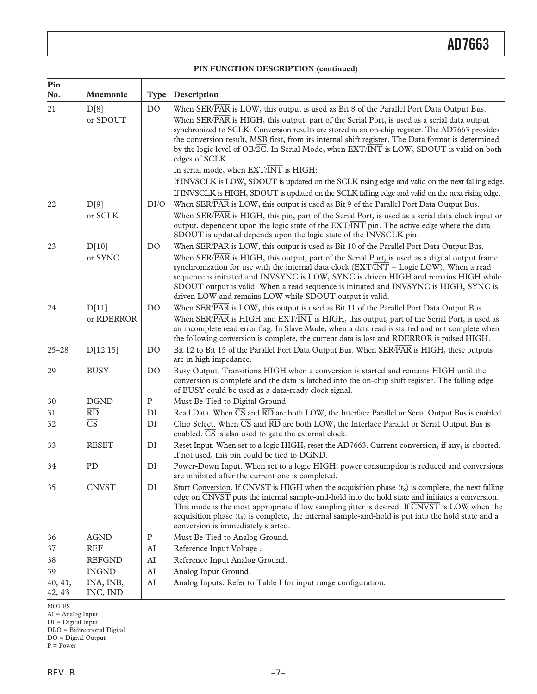#### **PIN FUNCTION DESCRIPTION (continued)**

| Pin<br>No.        | <b>Mnemonic</b>        | <b>Type</b>    | Description                                                                                                                                                                                                                                                                                                                                                                                                                                                                                                       |  |  |  |  |
|-------------------|------------------------|----------------|-------------------------------------------------------------------------------------------------------------------------------------------------------------------------------------------------------------------------------------------------------------------------------------------------------------------------------------------------------------------------------------------------------------------------------------------------------------------------------------------------------------------|--|--|--|--|
| 21                | D[8]<br>or SDOUT       | D <sub>O</sub> | When SER/PAR is LOW, this output is used as Bit 8 of the Parallel Port Data Output Bus.<br>When SER/PAR is HIGH, this output, part of the Serial Port, is used as a serial data output<br>synchronized to SCLK. Conversion results are stored in an on-chip register. The AD7663 provides<br>the conversion result, MSB first, from its internal shift register. The Data format is determined<br>by the logic level of $OB/2C$ . In Serial Mode, when $EXT/INT$ is LOW, SDOUT is valid on both<br>edges of SCLK. |  |  |  |  |
|                   |                        |                | In serial mode, when EXT/INT is HIGH:                                                                                                                                                                                                                                                                                                                                                                                                                                                                             |  |  |  |  |
|                   |                        |                | If INVSCLK is LOW, SDOUT is updated on the SCLK rising edge and valid on the next falling edge.                                                                                                                                                                                                                                                                                                                                                                                                                   |  |  |  |  |
|                   |                        |                | If INVSCLK is HIGH, SDOUT is updated on the SCLK falling edge and valid on the next rising edge.                                                                                                                                                                                                                                                                                                                                                                                                                  |  |  |  |  |
| 22                | D[9]<br>or SCLK        | DI/O           | When SER/PAR is LOW, this output is used as Bit 9 of the Parallel Port Data Output Bus.<br>When SER/PAR is HIGH, this pin, part of the Serial Port, is used as a serial data clock input or<br>output, dependent upon the logic state of the EXT/INT pin. The active edge where the data<br>SDOUT is updated depends upon the logic state of the INVSCLK pin.                                                                                                                                                     |  |  |  |  |
| 23                | D[10]                  | D <sub>O</sub> | When SER/PAR is LOW, this output is used as Bit 10 of the Parallel Port Data Output Bus.                                                                                                                                                                                                                                                                                                                                                                                                                          |  |  |  |  |
|                   | or SYNC                |                | When SER/PAR is HIGH, this output, part of the Serial Port, is used as a digital output frame<br>synchronization for use with the internal data clock $(EXT/INT = Logic$ LOW). When a read<br>sequence is initiated and INVSYNC is LOW, SYNC is driven HIGH and remains HIGH while<br>SDOUT output is valid. When a read sequence is initiated and INVSYNC is HIGH, SYNC is<br>driven LOW and remains LOW while SDOUT output is valid.                                                                            |  |  |  |  |
| 24                | D[11]                  | D <sub>O</sub> | When SER/PAR is LOW, this output is used as Bit 11 of the Parallel Port Data Output Bus.                                                                                                                                                                                                                                                                                                                                                                                                                          |  |  |  |  |
|                   | or RDERROR             |                | When SER/PAR is HIGH and EXT/INT is HIGH, this output, part of the Serial Port, is used as<br>an incomplete read error flag. In Slave Mode, when a data read is started and not complete when<br>the following conversion is complete, the current data is lost and RDERROR is pulsed HIGH.                                                                                                                                                                                                                       |  |  |  |  |
| $25 - 28$         | D[12:15]               | D <sub>O</sub> | Bit 12 to Bit 15 of the Parallel Port Data Output Bus. When SERPAR is HIGH, these outputs<br>are in high impedance.                                                                                                                                                                                                                                                                                                                                                                                               |  |  |  |  |
| 29                | <b>BUSY</b>            | D <sub>O</sub> | Busy Output. Transitions HIGH when a conversion is started and remains HIGH until the<br>conversion is complete and the data is latched into the on-chip shift register. The falling edge<br>of BUSY could be used as a data-ready clock signal.                                                                                                                                                                                                                                                                  |  |  |  |  |
| 30                | <b>DGND</b>            | ${\bf P}$      | Must Be Tied to Digital Ground.                                                                                                                                                                                                                                                                                                                                                                                                                                                                                   |  |  |  |  |
| 31                | $\overline{RD}$        | DI             | Read Data. When $\overline{CS}$ and $\overline{RD}$ are both LOW, the Interface Parallel or Serial Output Bus is enabled.                                                                                                                                                                                                                                                                                                                                                                                         |  |  |  |  |
| 32                | $\overline{\text{CS}}$ | DI             | Chip Select. When $\overline{CS}$ and $\overline{RD}$ are both LOW, the Interface Parallel or Serial Output Bus is<br>enabled. $\overline{CS}$ is also used to gate the external clock.                                                                                                                                                                                                                                                                                                                           |  |  |  |  |
| 33                | <b>RESET</b>           | DI             | Reset Input. When set to a logic HIGH, reset the AD7663. Current conversion, if any, is aborted.<br>If not used, this pin could be tied to DGND.                                                                                                                                                                                                                                                                                                                                                                  |  |  |  |  |
| 34                | PD                     | DI             | Power-Down Input. When set to a logic HIGH, power consumption is reduced and conversions<br>are inhibited after the current one is completed.                                                                                                                                                                                                                                                                                                                                                                     |  |  |  |  |
| 35                | <b>CNVST</b>           | DI             | Start Conversion. If $\overline{CNVST}$ is HIGH when the acquisition phase $(t_8)$ is complete, the next falling<br>edge on $\overline{\text{CNVST}}$ puts the internal sample-and-hold into the hold state and initiates a conversion.<br>This mode is the most appropriate if low sampling jitter is desired. If $\overline{\text{CNVST}}$ is LOW when the<br>acquisition phase $(t_8)$ is complete, the internal sample-and-hold is put into the hold state and a<br>conversion is immediately started.        |  |  |  |  |
| 36                | <b>AGND</b>            | ${\bf P}$      | Must Be Tied to Analog Ground.                                                                                                                                                                                                                                                                                                                                                                                                                                                                                    |  |  |  |  |
| 37                | <b>REF</b>             | AI             | Reference Input Voltage.                                                                                                                                                                                                                                                                                                                                                                                                                                                                                          |  |  |  |  |
| 38                | <b>REFGND</b>          | $\rm AI$       | Reference Input Analog Ground.                                                                                                                                                                                                                                                                                                                                                                                                                                                                                    |  |  |  |  |
| 39                | <b>INGND</b>           | ${\rm AI}$     | Analog Input Ground.                                                                                                                                                                                                                                                                                                                                                                                                                                                                                              |  |  |  |  |
| 40, 41,<br>42, 43 | INA, INB,<br>INC, IND  | AI             | Analog Inputs. Refer to Table I for input range configuration.                                                                                                                                                                                                                                                                                                                                                                                                                                                    |  |  |  |  |

NOTES

AI = Analog Input

DI = Digital Input

DI/O = Bidirectional Digital DO = Digital Output

P = Power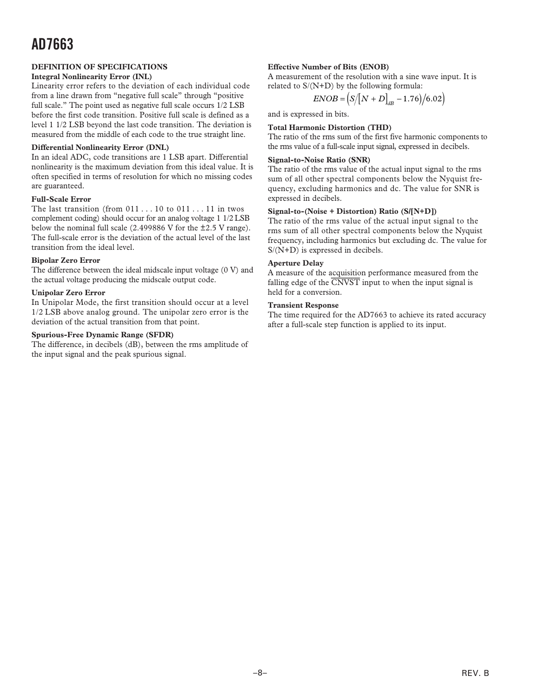#### **DEFINITION OF SPECIFICATIONS**

#### **Integral Nonlinearity Error (INL)**

Linearity error refers to the deviation of each individual code from a line drawn from "negative full scale" through "positive full scale." The point used as negative full scale occurs 1/2 LSB before the first code transition. Positive full scale is defined as a level 1 1/2 LSB beyond the last code transition. The deviation is measured from the middle of each code to the true straight line.

#### **Differential Nonlinearity Error (DNL)**

In an ideal ADC, code transitions are 1 LSB apart. Differential nonlinearity is the maximum deviation from this ideal value. It is often specified in terms of resolution for which no missing codes are guaranteed.

#### **Full-Scale Error**

The last transition (from  $011...10$  to  $011...11$  in twos complement coding) should occur for an analog voltage 1 1/2 LSB below the nominal full scale (2.499886 V for the ±2.5 V range). The full-scale error is the deviation of the actual level of the last transition from the ideal level.

#### **Bipolar Zero Error**

The difference between the ideal midscale input voltage (0 V) and the actual voltage producing the midscale output code.

#### **Unipolar Zero Error**

In Unipolar Mode, the first transition should occur at a level 1/2 LSB above analog ground. The unipolar zero error is the deviation of the actual transition from that point.

#### **Spurious-Free Dynamic Range (SFDR)**

The difference, in decibels (dB), between the rms amplitude of the input signal and the peak spurious signal.

#### **Effective Number of Bits (ENOB)**

A measurement of the resolution with a sine wave input. It is related to S/(N+D) by the following formula:

$$
ENOB = (S/[N + D]_{dB} - 1.76)/6.02)
$$

and is expressed in bits.

**Total Harmonic Distortion (THD)** The ratio of the rms sum of the first five harmonic components to the rms value of a full-scale input signal, expressed in decibels.

#### **Signal-to-Noise Ratio (SNR)**

The ratio of the rms value of the actual input signal to the rms sum of all other spectral components below the Nyquist frequency, excluding harmonics and dc. The value for SNR is expressed in decibels.

#### **Signal-to-(Noise + Distortion) Ratio (S/[N+D])**

The ratio of the rms value of the actual input signal to the rms sum of all other spectral components below the Nyquist frequency, including harmonics but excluding dc. The value for S/(N+D) is expressed in decibels.

#### **Aperture Delay**

A measure of the acquisition performance measured from the falling edge of the *CNVST* input to when the input signal is held for a conversion.

#### **Transient Response**

The time required for the AD7663 to achieve its rated accuracy after a full-scale step function is applied to its input.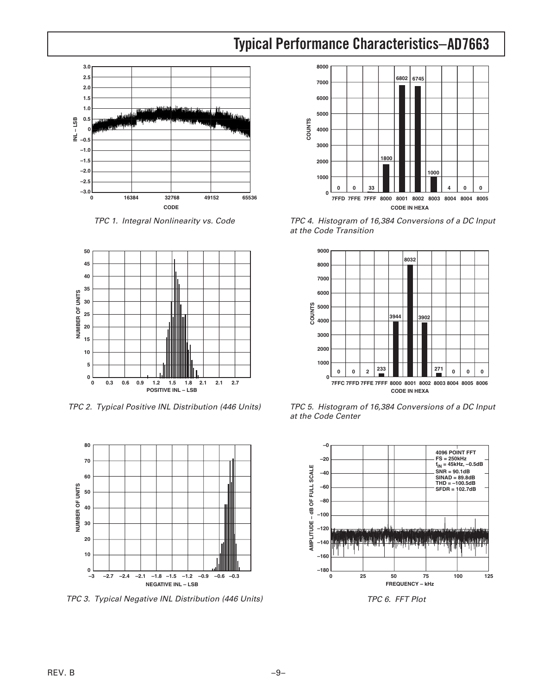### **AD7663 Typical Performance Characteristics–**



TPC 1. Integral Nonlinearity vs. Code



TPC 2. Typical Positive INL Distribution (446 Units)



TPC 3. Typical Negative INL Distribution (446 Units)



TPC 4. Histogram of 16,384 Conversions of a DC Input at the Code Transition



TPC 5. Histogram of 16,384 Conversions of a DC Input at the Code Center



TPC 6. FFT Plot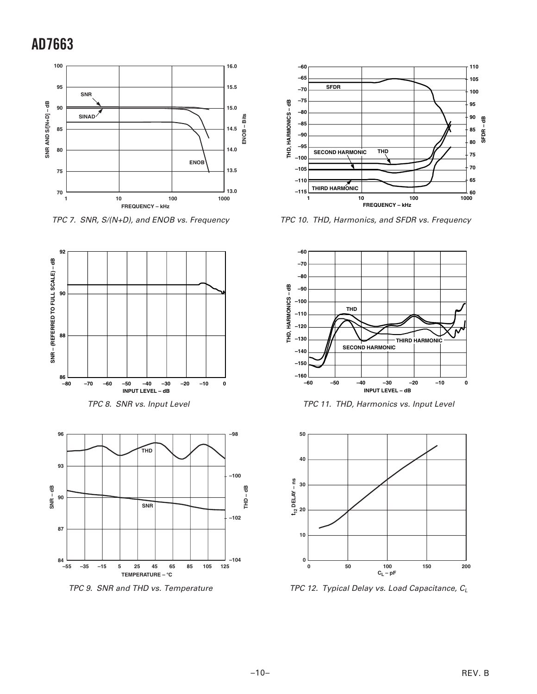

TPC 7. SNR, S/(N+D), and ENOB vs. Frequency





TPC 9. SNR and THD vs. Temperature



TPC 10. THD, Harmonics, and SFDR vs. Frequency



TPC 11. THD, Harmonics vs. Input Level



TPC 12. Typical Delay vs. Load Capacitance,  $C_L$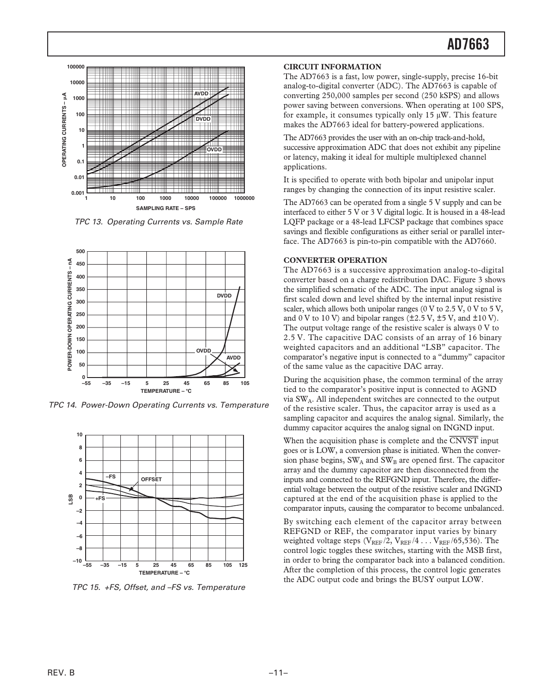

TPC 13. Operating Currents vs. Sample Rate



TPC 14. Power-Down Operating Currents vs. Temperature



TPC 15. +FS, Offset, and –FS vs. Temperature

#### **CIRCUIT INFORMATION**

The AD7663 is a fast, low power, single-supply, precise 16-bit analog-to-digital converter (ADC). The AD7663 is capable of converting 250,000 samples per second (250 kSPS) and allows power saving between conversions. When operating at 100 SPS, for example, it consumes typically only  $15 \mu W$ . This feature makes the AD7663 ideal for battery-powered applications.

The AD7663 provides the user with an on-chip track-and-hold, successive approximation ADC that does not exhibit any pipeline or latency, making it ideal for multiple multiplexed channel applications.

It is specified to operate with both bipolar and unipolar input ranges by changing the connection of its input resistive scaler.

The AD7663 can be operated from a single 5 V supply and can be interfaced to either 5 V or 3 V digital logic. It is housed in a 48-lead LQFP package or a 48-lead LFCSP package that combines space savings and flexible configurations as either serial or parallel interface. The AD7663 is pin-to-pin compatible with the AD7660.

#### **CONVERTER OPERATION**

The AD7663 is a successive approximation analog-to-digital converter based on a charge redistribution DAC. Figure 3 shows the simplified schematic of the ADC. The input analog signal is first scaled down and level shifted by the internal input resistive scaler, which allows both unipolar ranges (0 V to 2.5 V, 0 V to 5 V, and 0 V to 10 V) and bipolar ranges  $(\pm 2.5 \text{ V}, \pm 5 \text{ V}, \text{ and } \pm 10 \text{ V})$ . The output voltage range of the resistive scaler is always 0 V to 2.5 V. The capacitive DAC consists of an array of 16 binary weighted capacitors and an additional "LSB" capacitor. The comparator's negative input is connected to a "dummy" capacitor of the same value as the capacitive DAC array.

During the acquisition phase, the common terminal of the array tied to the comparator's positive input is connected to AGND via SWA. All independent switches are connected to the output of the resistive scaler. Thus, the capacitor array is used as a sampling capacitor and acquires the analog signal. Similarly, the dummy capacitor acquires the analog signal on INGND input.

When the acquisition phase is complete and the *CNVST* input goes or is LOW, a conversion phase is initiated. When the conversion phase begins,  $SW_A$  and  $SW_B$  are opened first. The capacitor array and the dummy capacitor are then disconnected from the inputs and connected to the REFGND input. Therefore, the differential voltage between the output of the resistive scaler and INGND captured at the end of the acquisition phase is applied to the comparator inputs, causing the comparator to become unbalanced.

By switching each element of the capacitor array between REFGND or REF, the comparator input varies by binary weighted voltage steps  $(V_{REF}/2, V_{REF}/4...V_{REF}/65,536)$ . The control logic toggles these switches, starting with the MSB first, in order to bring the comparator back into a balanced condition. After the completion of this process, the control logic generates the ADC output code and brings the BUSY output LOW.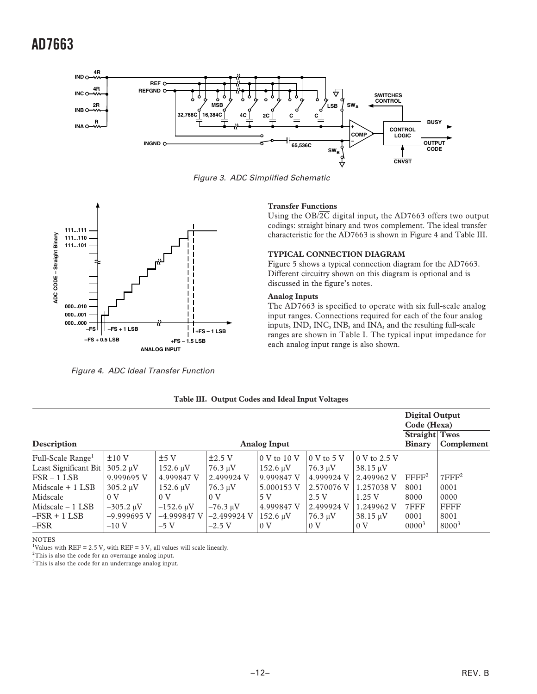

Figure 3. ADC Simplified Schematic



Figure 4. ADC Ideal Transfer Function

#### **Transfer Functions**

Using the OB/*2C* digital input, the AD7663 offers two output codings: straight binary and twos complement. The ideal transfer characteristic for the AD7663 is shown in Figure 4 and Table III.

#### **TYPICAL CONNECTION DIAGRAM**

Figure 5 shows a typical connection diagram for the AD7663. Different circuitry shown on this diagram is optional and is discussed in the figure's notes.

#### **Analog Inputs**

The AD7663 is specified to operate with six full-scale analog input ranges. Connections required for each of the four analog inputs, IND, INC, INB, and INA, and the resulting full-scale ranges are shown in Table I. The typical input impedance for each analog input range is also shown.

|                               |                              |                     |                            |                                    |                      |                | <b>Digital Output</b><br>Code (Hexa)<br><b>Straight Twos</b> |                      |
|-------------------------------|------------------------------|---------------------|----------------------------|------------------------------------|----------------------|----------------|--------------------------------------------------------------|----------------------|
| Description                   |                              | <b>Analog Input</b> |                            |                                    |                      |                | <b>Binary</b>                                                | Complement           |
| Full-Scale Range <sup>1</sup> | ±10V                         | ±5V                 | $\pm 2.5$ V                | $10 \mathrm{V}$ to $10 \mathrm{V}$ | $0 \text{ V}$ to 5 V | 0 V to 2.5 V   |                                                              |                      |
| Least Significant Bit         | 305.2 uV                     | $152.6 \,\mu V$     | $76.3 \text{ uV}$          | $152.6 \text{ uV}$                 | $76.3 \text{ uV}$    | 38.15 uV       |                                                              |                      |
| $FSR - 1LSB$                  | 9.999695 V                   | 4.999847 V          | 2.499924 V                 | 9.999847 V                         | 4.999924 V           | 2.499962 V     | $\rm FFFF^2$                                                 | $7$ FFF <sup>2</sup> |
| Midscale $+$ 1 LSB            | $305.2 \text{ uV}$           | $152.6 \text{ uV}$  | $76.3 \text{ \textup{uV}}$ | 5.000153 V                         | 2.570076 V           | 1.257038 V     | 8001                                                         | 0001                 |
| Midscale                      | 0 <sub>V</sub>               | 0 <sub>V</sub>      | 0 <sub>V</sub>             | 5 V                                | 2.5V                 | 1.25V          | 8000                                                         | 0000                 |
| $Midscale - 1$ LSB            | $-305.2 \text{ }\mu\text{V}$ | $-152.6 \mu V$      | $-76.3 \text{ uV}$         | 4.999847 V                         | 2.499924 V           | 1.249962 V     | 7FFF                                                         | <b>FFFF</b>          |
| $-FSR + 1 LSB$                | $-9.999695$ V                | $-4.999847$ V       | $-2.499924$ V              | $152.6 \text{ uV}$                 | $76.3 \text{ uV}$    | 38.15 uV       | 0001                                                         | 8001                 |
| $-FSR$                        | $-10V$                       | $-5V$               | $-2.5$ V                   | 0 <sub>V</sub>                     | 0 <sub>V</sub>       | 0 <sub>V</sub> | $0000^{3}$                                                   | 8000 <sup>3</sup>    |

**Table III. Output Codes and Ideal Input Voltages**

**NOTES** 

<sup>1</sup>Values with REF = 2.5 V, with REF = 3 V, all values will scale linearly.

 $2$ This is also the code for an overrange analog input.

<sup>3</sup>This is also the code for an underrange analog input.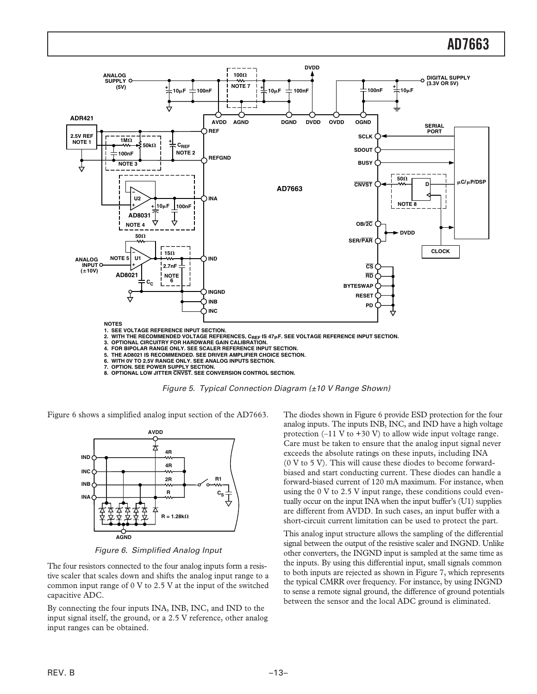

Figure 5. Typical Connection Diagram (±10 V Range Shown)

Figure 6 shows a simplified analog input section of the AD7663.



Figure 6. Simplified Analog Input

The four resistors connected to the four analog inputs form a resistive scaler that scales down and shifts the analog input range to a common input range of 0 V to 2.5 V at the input of the switched capacitive ADC.

By connecting the four inputs INA, INB, INC, and IND to the input signal itself, the ground, or a 2.5 V reference, other analog input ranges can be obtained.

The diodes shown in Figure 6 provide ESD protection for the four analog inputs. The inputs INB, INC, and IND have a high voltage protection  $(-11 \text{ V to } +30 \text{ V})$  to allow wide input voltage range. Care must be taken to ensure that the analog input signal never exceeds the absolute ratings on these inputs, including INA (0 V to 5 V). This will cause these diodes to become forwardbiased and start conducting current. These diodes can handle a forward-biased current of 120 mA maximum. For instance, when using the 0 V to 2.5 V input range, these conditions could eventually occur on the input INA when the input buffer's (U1) supplies are different from AVDD. In such cases, an input buffer with a short-circuit current limitation can be used to protect the part.

This analog input structure allows the sampling of the differential signal between the output of the resistive scaler and INGND. Unlike other converters, the INGND input is sampled at the same time as the inputs. By using this differential input, small signals common to both inputs are rejected as shown in Figure 7, which represents the typical CMRR over frequency. For instance, by using INGND to sense a remote signal ground, the difference of ground potentials between the sensor and the local ADC ground is eliminated.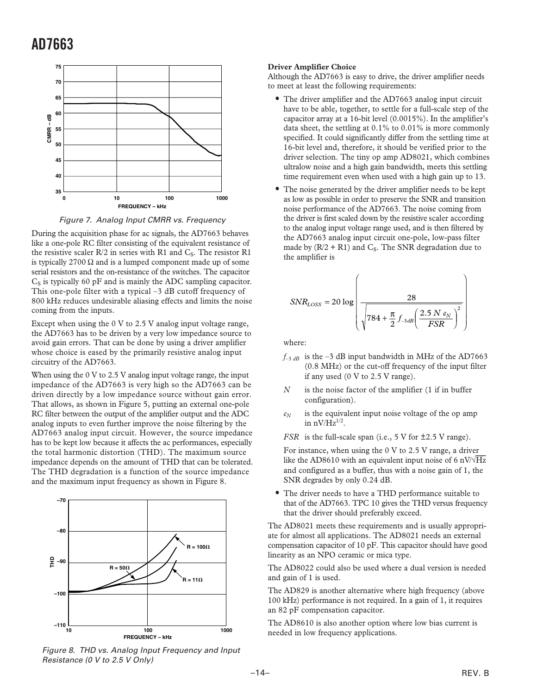

Figure 7. Analog Input CMRR vs. Frequency

During the acquisition phase for ac signals, the AD7663 behaves like a one-pole RC filter consisting of the equivalent resistance of the resistive scaler  $R/2$  in series with R1 and  $C_S$ . The resistor R1 is typically 2700  $\Omega$  and is a lumped component made up of some serial resistors and the on-resistance of the switches. The capacitor  $C<sub>S</sub>$  is typically 60 pF and is mainly the ADC sampling capacitor. This one-pole filter with a typical –3 dB cutoff frequency of 800 kHz reduces undesirable aliasing effects and limits the noise coming from the inputs.

Except when using the 0 V to 2.5 V analog input voltage range, the AD7663 has to be driven by a very low impedance source to avoid gain errors. That can be done by using a driver amplifier whose choice is eased by the primarily resistive analog input circuitry of the AD7663.

When using the 0 V to 2.5 V analog input voltage range, the input impedance of the AD7663 is very high so the AD7663 can be driven directly by a low impedance source without gain error. That allows, as shown in Figure 5, putting an external one-pole RC filter between the output of the amplifier output and the ADC analog inputs to even further improve the noise filtering by the AD7663 analog input circuit. However, the source impedance has to be kept low because it affects the ac performances, especially the total harmonic distortion (THD). The maximum source impedance depends on the amount of THD that can be tolerated. The THD degradation is a function of the source impedance and the maximum input frequency as shown in Figure 8.



Figure 8. THD vs. Analog Input Frequency and Input Resistance (0 V to 2.5 V Only)

#### **Driver Amplifier Choice**

Although the AD7663 is easy to drive, the driver amplifier needs to meet at least the following requirements:

- The driver amplifier and the AD7663 analog input circuit have to be able, together, to settle for a full-scale step of the capacitor array at a 16-bit level (0.0015%). In the amplifier's data sheet, the settling at 0.1% to 0.01% is more commonly specified. It could significantly differ from the settling time at 16-bit level and, therefore, it should be verified prior to the driver selection. The tiny op amp AD8021, which combines ultralow noise and a high gain bandwidth, meets this settling time requirement even when used with a high gain up to 13.
- The noise generated by the driver amplifier needs to be kept as low as possible in order to preserve the SNR and transition noise performance of the AD7663. The noise coming from the driver is first scaled down by the resistive scaler according to the analog input voltage range used, and is then filtered by the AD7663 analog input circuit one-pole, low-pass filter made by  $(R/2 + R1)$  and C<sub>S</sub>. The SNR degradation due to the amplifier is

$$
SNR_{LOSS} = 20 \log \left( \frac{28}{\sqrt{784 + \frac{\pi}{2} f_{3dB} \left( \frac{2.5 N e_N}{FSR} \right)^2}} \right)
$$

where:

- $f_{-3 dB}$  is the  $-3 dB$  input bandwidth in MHz of the AD7663 (0.8 MHz) or the cut-off frequency of the input filter if any used (0 V to 2.5 V range).
- *N* is the noise factor of the amplifier (1 if in buffer configuration).
- *eN* is the equivalent input noise voltage of the op amp in  $nV/Hz^{1/2}$ .

*FSR* is the full-scale span (i.e., 5 V for  $\pm$ 2.5 V range).

For instance, when using the 0 V to 2.5 V range, a driver like the AD8610 with an equivalent input noise of 6 nV/ $\sqrt{Hz}$ and configured as a buffer, thus with a noise gain of 1, the SNR degrades by only 0.24 dB.

• The driver needs to have a THD performance suitable to that of the AD7663. TPC 10 gives the THD versus frequency that the driver should preferably exceed.

The AD8021 meets these requirements and is usually appropriate for almost all applications. The AD8021 needs an external compensation capacitor of 10 pF. This capacitor should have good linearity as an NPO ceramic or mica type.

The AD8022 could also be used where a dual version is needed and gain of 1 is used.

The AD829 is another alternative where high frequency (above 100 kHz) performance is not required. In a gain of 1, it requires an 82 pF compensation capacitor.

The AD8610 is also another option where low bias current is needed in low frequency applications.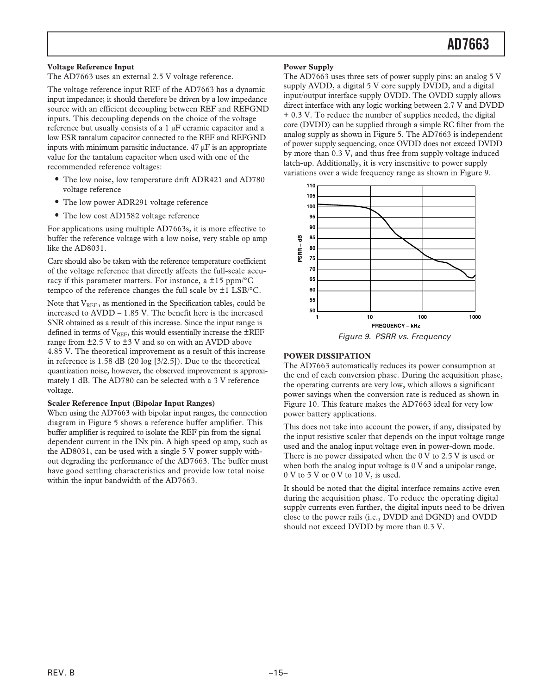#### **Voltage Reference Input**

The AD7663 uses an external 2.5 V voltage reference.

The voltage reference input REF of the AD7663 has a dynamic input impedance; it should therefore be driven by a low impedance source with an efficient decoupling between REF and REFGND inputs. This decoupling depends on the choice of the voltage reference but usually consists of a 1 µF ceramic capacitor and a low ESR tantalum capacitor connected to the REF and REFGND inputs with minimum parasitic inductance. 47 µF is an appropriate value for the tantalum capacitor when used with one of the recommended reference voltages:

- The low noise, low temperature drift ADR421 and AD780 voltage reference
- The low power ADR291 voltage reference
- The low cost AD1582 voltage reference

For applications using multiple AD7663s, it is more effective to buffer the reference voltage with a low noise, very stable op amp like the AD8031.

Care should also be taken with the reference temperature coefficient of the voltage reference that directly affects the full-scale accuracy if this parameter matters. For instance, a  $\pm 15$  ppm/ $\rm ^{\circ}C$ tempco of the reference changes the full scale by ±1 LSB/°C.

Note that V<sub>REF</sub>, as mentioned in the Specification tables, could be increased to AVDD – 1.85 V. The benefit here is the increased SNR obtained as a result of this increase. Since the input range is defined in terms of  $V_{REF}$ , this would essentially increase the  $\pm$ REF range from ±2.5 V to ±3 V and so on with an AVDD above 4.85 V. The theoretical improvement as a result of this increase in reference is 1.58 dB (20 log [3/2.5]). Due to the theoretical quantization noise, however, the observed improvement is approximately 1 dB. The AD780 can be selected with a 3 V reference voltage.

#### **Scaler Reference Input (Bipolar Input Ranges)**

When using the AD7663 with bipolar input ranges, the connection diagram in Figure 5 shows a reference buffer amplifier. This buffer amplifier is required to isolate the REF pin from the signal dependent current in the INx pin. A high speed op amp, such as the AD8031, can be used with a single 5 V power supply without degrading the performance of the AD7663. The buffer must have good settling characteristics and provide low total noise within the input bandwidth of the AD7663.

#### **Power Supply**

The AD7663 uses three sets of power supply pins: an analog 5 V supply AVDD, a digital 5 V core supply DVDD, and a digital input/output interface supply OVDD. The OVDD supply allows direct interface with any logic working between 2.7 V and DVDD + 0.3 V. To reduce the number of supplies needed, the digital core (DVDD) can be supplied through a simple RC filter from the analog supply as shown in Figure 5. The AD7663 is independent of power supply sequencing, once OVDD does not exceed DVDD by more than 0.3 V, and thus free from supply voltage induced latch-up. Additionally, it is very insensitive to power supply variations over a wide frequency range as shown in Figure 9.



#### **POWER DISSIPATION**

The AD7663 automatically reduces its power consumption at the end of each conversion phase. During the acquisition phase, the operating currents are very low, which allows a significant power savings when the conversion rate is reduced as shown in Figure 10. This feature makes the AD7663 ideal for very low power battery applications.

This does not take into account the power, if any, dissipated by the input resistive scaler that depends on the input voltage range used and the analog input voltage even in power-down mode. There is no power dissipated when the 0 V to 2.5 V is used or when both the analog input voltage is  $0 \text{ V}$  and a unipolar range, 0 V to 5 V or 0 V to 10 V, is used.

It should be noted that the digital interface remains active even during the acquisition phase. To reduce the operating digital supply currents even further, the digital inputs need to be driven close to the power rails (i.e., DVDD and DGND) and OVDD should not exceed DVDD by more than 0.3 V.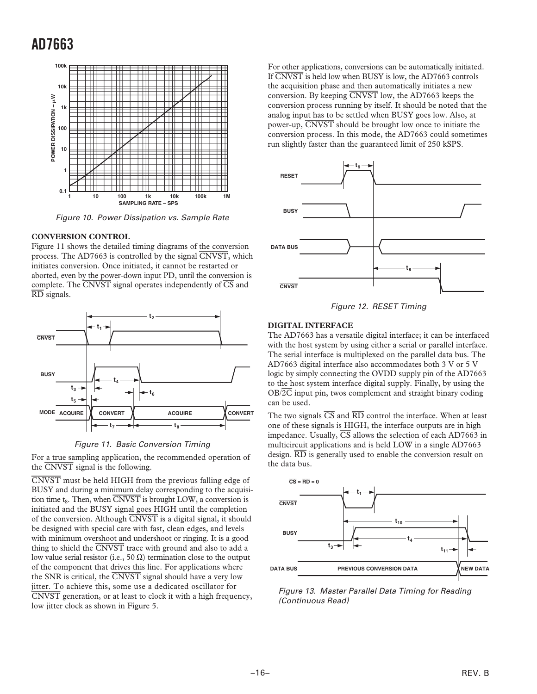

Figure 10. Power Dissipation vs. Sample Rate

#### **CONVERSION CONTROL**

Figure 11 shows the detailed timing diagrams of the conversion process. The AD7663 is controlled by the signal *CNVST*, which initiates conversion. Once initiated, it cannot be restarted or aborted, even by the power-down input PD, until the conversion is complete. The *CNVST* signal operates independently of *CS* and *RD* signals.





For a true sampling application, the recommended operation of the *CNVST* signal is the following.

*CNVST* must be held HIGH from the previous falling edge of BUSY and during a minimum delay corresponding to the acquisition time t<sub>8</sub>. Then, when *CNVST* is brought LOW, a conversion is initiated and the BUSY signal goes HIGH until the completion of the conversion. Although *CNVST* is a digital signal, it should be designed with special care with fast, clean edges, and levels with minimum overshoot and undershoot or ringing. It is a good thing to shield the *CNVST* trace with ground and also to add a low value serial resistor (i.e., 50  $\Omega$ ) termination close to the output of the component that drives this line. For applications where the SNR is critical, the *CNVST* signal should have a very low jitter. To achieve this, some use a dedicated oscillator for *CNVST* generation, or at least to clock it with a high frequency, low jitter clock as shown in Figure 5.

For other applications, conversions can be automatically initiated. If *CNVST* is held low when BUSY is low, the AD7663 controls the acquisition phase and then automatically initiates a new conversion. By keeping *CNVST* low, the AD7663 keeps the conversion process running by itself. It should be noted that the analog input has to be settled when BUSY goes low. Also, at power-up, *CNVST* should be brought low once to initiate the conversion process. In this mode, the AD7663 could sometimes run slightly faster than the guaranteed limit of 250 kSPS.



Figure 12. RESET Timing

#### **DIGITAL INTERFACE**

The AD7663 has a versatile digital interface; it can be interfaced with the host system by using either a serial or parallel interface. The serial interface is multiplexed on the parallel data bus. The AD7663 digital interface also accommodates both 3 V or 5 V logic by simply connecting the OVDD supply pin of the AD7663 to the host system interface digital supply. Finally, by using the OB/*2C* input pin, twos complement and straight binary coding can be used.

The two signals *CS* and *RD* control the interface. When at least one of these signals is HIGH, the interface outputs are in high impedance. Usually,  $\overline{CS}$  allows the selection of each AD7663 in multicircuit applications and is held LOW in a single AD7663 design. *RD* is generally used to enable the conversion result on the data bus.



Figure 13. Master Parallel Data Timing for Reading (Continuous Read)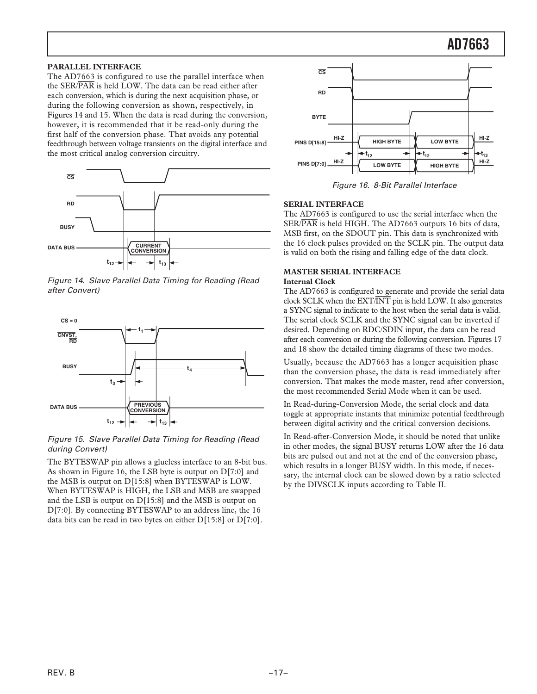#### **PARALLEL INTERFACE**

The AD7663 is configured to use the parallel interface when the SER/*PAR* is held LOW. The data can be read either after each conversion, which is during the next acquisition phase, or during the following conversion as shown, respectively, in Figures 14 and 15. When the data is read during the conversion, however, it is recommended that it be read-only during the first half of the conversion phase. That avoids any potential feedthrough between voltage transients on the digital interface and the most critical analog conversion circuitry.



Figure 14. Slave Parallel Data Timing for Reading (Read after Convert)



Figure 15. Slave Parallel Data Timing for Reading (Read during Convert)

The BYTESWAP pin allows a glueless interface to an 8-bit bus. As shown in Figure 16, the LSB byte is output on D[7:0] and the MSB is output on D[15:8] when BYTESWAP is LOW. When BYTESWAP is HIGH, the LSB and MSB are swapped and the LSB is output on D[15:8] and the MSB is output on D[7:0]. By connecting BYTESWAP to an address line, the 16 data bits can be read in two bytes on either D[15:8] or D[7:0].



Figure 16. 8-Bit Parallel Interface

#### **SERIAL INTERFACE**

The AD7663 is configured to use the serial interface when the SER/*PAR* is held HIGH. The AD7663 outputs 16 bits of data, MSB first, on the SDOUT pin. This data is synchronized with the 16 clock pulses provided on the SCLK pin. The output data is valid on both the rising and falling edge of the data clock.

#### **MASTER SERIAL INTERFACE Internal Clock**

The AD7663 is configured to generate and provide the serial data clock SCLK when the EXT/*INT* pin is held LOW. It also generates a SYNC signal to indicate to the host when the serial data is valid. The serial clock SCLK and the SYNC signal can be inverted if desired. Depending on RDC/SDIN input, the data can be read after each conversion or during the following conversion. Figures 17 and 18 show the detailed timing diagrams of these two modes.

Usually, because the AD7663 has a longer acquisition phase than the conversion phase, the data is read immediately after conversion. That makes the mode master, read after conversion, the most recommended Serial Mode when it can be used.

In Read-during-Conversion Mode, the serial clock and data toggle at appropriate instants that minimize potential feedthrough between digital activity and the critical conversion decisions.

In Read-after-Conversion Mode, it should be noted that unlike in other modes, the signal BUSY returns LOW after the 16 data bits are pulsed out and not at the end of the conversion phase, which results in a longer BUSY width. In this mode, if necessary, the internal clock can be slowed down by a ratio selected by the DIVSCLK inputs according to Table II.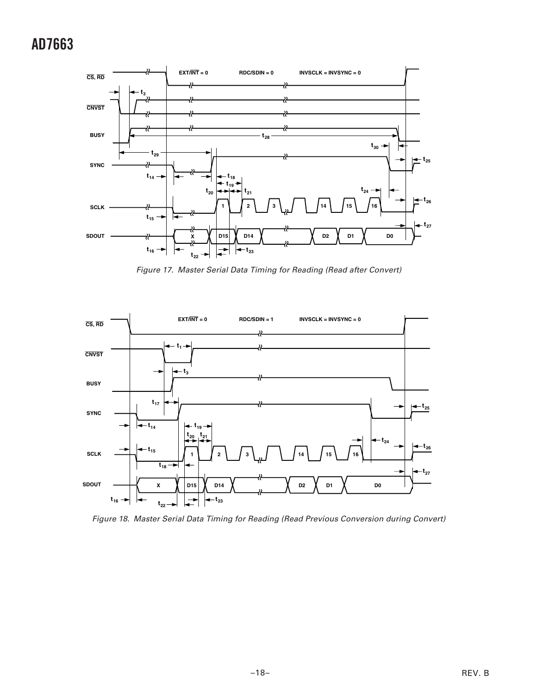

Figure 17. Master Serial Data Timing for Reading (Read after Convert)



Figure 18. Master Serial Data Timing for Reading (Read Previous Conversion during Convert)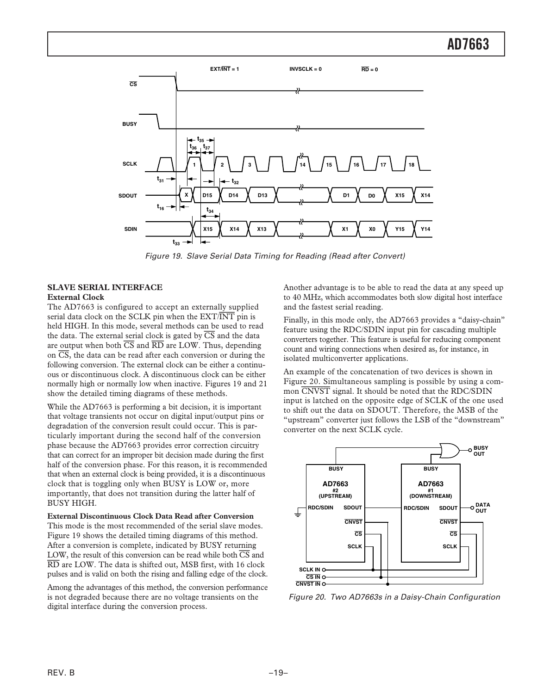

Figure 19. Slave Serial Data Timing for Reading (Read after Convert)

#### **SLAVE SERIAL INTERFACE External Clock**

The AD7663 is configured to accept an externally supplied serial data clock on the SCLK pin when the EXT/*INT* pin is held HIGH. In this mode, several methods can be used to read the data. The external serial clock is gated by  $\overline{CS}$  and the data are output when both *CS* and *RD* are LOW. Thus, depending on *CS*, the data can be read after each conversion or during the following conversion. The external clock can be either a continuous or discontinuous clock. A discontinuous clock can be either normally high or normally low when inactive. Figures 19 and 21 show the detailed timing diagrams of these methods.

While the AD7663 is performing a bit decision, it is important that voltage transients not occur on digital input/output pins or degradation of the conversion result could occur. This is particularly important during the second half of the conversion phase because the AD7663 provides error correction circuitry that can correct for an improper bit decision made during the first half of the conversion phase. For this reason, it is recommended that when an external clock is being provided, it is a discontinuous clock that is toggling only when BUSY is LOW or, more importantly, that does not transition during the latter half of BUSY HIGH.

**External Discontinuous Clock Data Read after Conversion** This mode is the most recommended of the serial slave modes. Figure 19 shows the detailed timing diagrams of this method. After a conversion is complete, indicated by BUSY returning LOW, the result of this conversion can be read while both *CS* and *RD* are LOW. The data is shifted out, MSB first, with 16 clock pulses and is valid on both the rising and falling edge of the clock.

Among the advantages of this method, the conversion performance is not degraded because there are no voltage transients on the digital interface during the conversion process.

Another advantage is to be able to read the data at any speed up to 40 MHz, which accommodates both slow digital host interface and the fastest serial reading.

Finally, in this mode only, the AD7663 provides a "daisy-chain" feature using the RDC/SDIN input pin for cascading multiple converters together. This feature is useful for reducing component count and wiring connections when desired as, for instance, in isolated multiconverter applications.

An example of the concatenation of two devices is shown in Figure 20. Simultaneous sampling is possible by using a common *CNVST* signal. It should be noted that the RDC/SDIN input is latched on the opposite edge of SCLK of the one used to shift out the data on SDOUT. Therefore, the MSB of the "upstream" converter just follows the LSB of the "downstream" converter on the next SCLK cycle.



Figure 20. Two AD7663s in a Daisy-Chain Configuration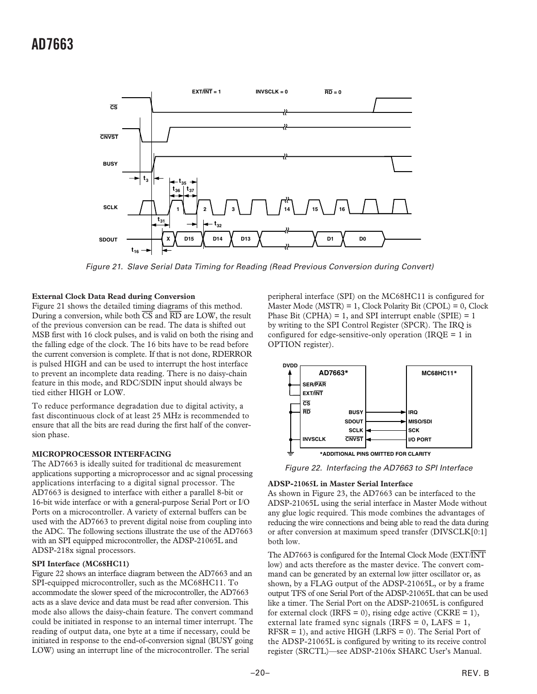

Figure 21. Slave Serial Data Timing for Reading (Read Previous Conversion during Convert)

#### **External Clock Data Read during Conversion**

Figure 21 shows the detailed timing diagrams of this method. During a conversion, while both *CS* and *RD* are LOW, the result of the previous conversion can be read. The data is shifted out MSB first with 16 clock pulses, and is valid on both the rising and the falling edge of the clock. The 16 bits have to be read before the current conversion is complete. If that is not done, RDERROR is pulsed HIGH and can be used to interrupt the host interface to prevent an incomplete data reading. There is no daisy-chain feature in this mode, and RDC/SDIN input should always be tied either HIGH or LOW.

To reduce performance degradation due to digital activity, a fast discontinuous clock of at least 25 MHz is recommended to ensure that all the bits are read during the first half of the conversion phase.

#### **MICROPROCESSOR INTERFACING**

The AD7663 is ideally suited for traditional dc measurement applications supporting a microprocessor and ac signal processing applications interfacing to a digital signal processor. The AD7663 is designed to interface with either a parallel 8-bit or 16-bit wide interface or with a general-purpose Serial Port or I/O Ports on a microcontroller. A variety of external buffers can be used with the AD7663 to prevent digital noise from coupling into the ADC. The following sections illustrate the use of the AD7663 with an SPI equipped microcontroller, the ADSP-21065L and ADSP-218x signal processors.

#### **SPI Interface (MC68HC11)**

Figure 22 shows an interface diagram between the AD7663 and an SPI-equipped microcontroller, such as the MC68HC11. To accommodate the slower speed of the microcontroller, the AD7663 acts as a slave device and data must be read after conversion. This mode also allows the daisy-chain feature. The convert command could be initiated in response to an internal timer interrupt. The reading of output data, one byte at a time if necessary, could be initiated in response to the end-of-conversion signal (BUSY going LOW) using an interrupt line of the microcontroller. The serial

peripheral interface (SPI) on the MC68HC11 is configured for Master Mode  $(MSTR) = 1$ , Clock Polarity Bit  $(CPOL) = 0$ , Clock Phase Bit (CPHA) = 1, and SPI interrupt enable (SPIE) = 1 by writing to the SPI Control Register (SPCR). The IRQ is configured for edge-sensitive-only operation (IRQE  $= 1$  in OPTION register).



Figure 22. Interfacing the AD7663 to SPI Interface

#### **ADSP-21065L in Master Serial Interface**

As shown in Figure 23, the AD7663 can be interfaced to the ADSP-21065L using the serial interface in Master Mode without any glue logic required. This mode combines the advantages of reducing the wire connections and being able to read the data during or after conversion at maximum speed transfer (DIVSCLK[0:1] both low.

The AD7663 is configured for the Internal Clock Mode (EXT/*INT* low) and acts therefore as the master device. The convert command can be generated by an external low jitter oscillator or, as shown, by a FLAG output of the ADSP-21065L, or by a frame output TFS of one Serial Port of the ADSP-21065L that can be used like a timer. The Serial Port on the ADSP-21065L is configured for external clock (IRFS = 0), rising edge active (CKRE = 1), external late framed sync signals (IRFS =  $0$ , LAFS =  $1$ , RFSR = 1), and active HIGH (LRFS = 0). The Serial Port of the ADSP-21065L is configured by writing to its receive control register (SRCTL)—see ADSP-2106x SHARC User's Manual.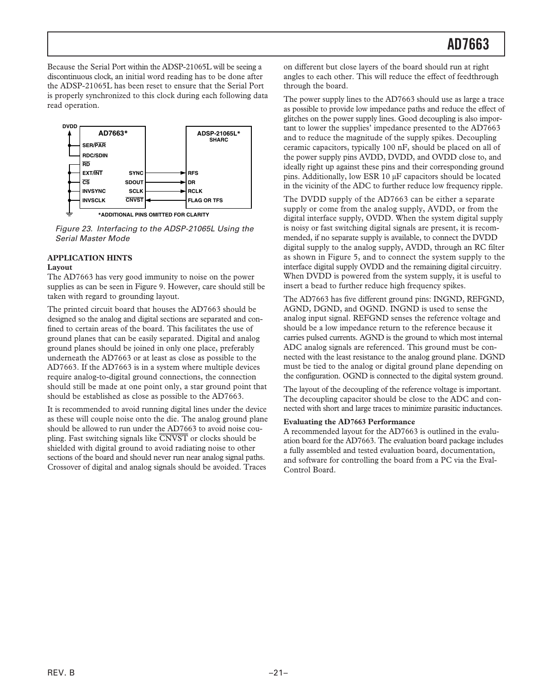Because the Serial Port within the ADSP-21065L will be seeing a discontinuous clock, an initial word reading has to be done after the ADSP-21065L has been reset to ensure that the Serial Port is properly synchronized to this clock during each following data read operation.



Figure 23. Interfacing to the ADSP-21065L Using the Serial Master Mode

#### **APPLICATION HINTS**

#### **Layout**

The AD7663 has very good immunity to noise on the power supplies as can be seen in Figure 9. However, care should still be taken with regard to grounding layout.

The printed circuit board that houses the AD7663 should be designed so the analog and digital sections are separated and confined to certain areas of the board. This facilitates the use of ground planes that can be easily separated. Digital and analog ground planes should be joined in only one place, preferably underneath the AD7663 or at least as close as possible to the AD7663. If the AD7663 is in a system where multiple devices require analog-to-digital ground connections, the connection should still be made at one point only, a star ground point that should be established as close as possible to the AD7663.

It is recommended to avoid running digital lines under the device as these will couple noise onto the die. The analog ground plane should be allowed to run under the AD7663 to avoid noise coupling. Fast switching signals like *CNVST* or clocks should be shielded with digital ground to avoid radiating noise to other sections of the board and should never run near analog signal paths. Crossover of digital and analog signals should be avoided. Traces

on different but close layers of the board should run at right angles to each other. This will reduce the effect of feedthrough through the board.

The power supply lines to the AD7663 should use as large a trace as possible to provide low impedance paths and reduce the effect of glitches on the power supply lines. Good decoupling is also important to lower the supplies' impedance presented to the AD7663 and to reduce the magnitude of the supply spikes. Decoupling ceramic capacitors, typically 100 nF, should be placed on all of the power supply pins AVDD, DVDD, and OVDD close to, and ideally right up against these pins and their corresponding ground pins. Additionally, low ESR 10 µF capacitors should be located in the vicinity of the ADC to further reduce low frequency ripple.

The DVDD supply of the AD7663 can be either a separate supply or come from the analog supply, AVDD, or from the digital interface supply, OVDD. When the system digital supply is noisy or fast switching digital signals are present, it is recommended, if no separate supply is available, to connect the DVDD digital supply to the analog supply, AVDD, through an RC filter as shown in Figure 5, and to connect the system supply to the interface digital supply OVDD and the remaining digital circuitry. When DVDD is powered from the system supply, it is useful to insert a bead to further reduce high frequency spikes.

The AD7663 has five different ground pins: INGND, REFGND, AGND, DGND, and OGND. INGND is used to sense the analog input signal. REFGND senses the reference voltage and should be a low impedance return to the reference because it carries pulsed currents. AGND is the ground to which most internal ADC analog signals are referenced. This ground must be connected with the least resistance to the analog ground plane. DGND must be tied to the analog or digital ground plane depending on the configuration. OGND is connected to the digital system ground.

The layout of the decoupling of the reference voltage is important. The decoupling capacitor should be close to the ADC and connected with short and large traces to minimize parasitic inductances.

#### **Evaluating the AD7663 Performance**

A recommended layout for the AD7663 is outlined in the evaluation board for the AD7663. The evaluation board package includes a fully assembled and tested evaluation board, documentation, and software for controlling the board from a PC via the Eval-Control Board.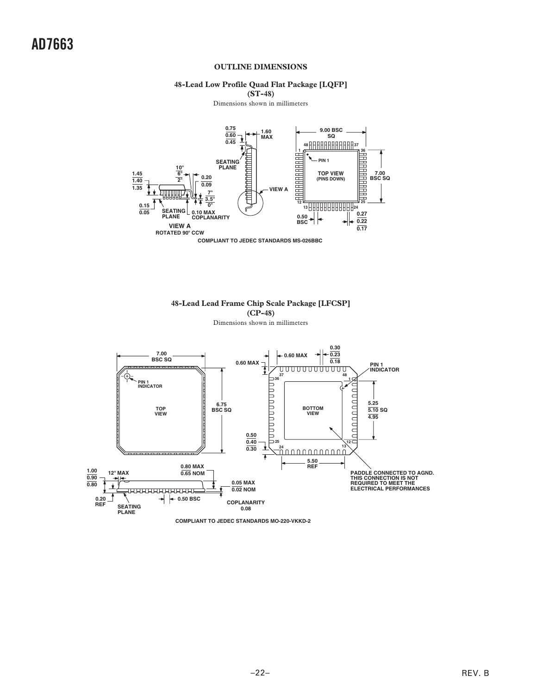#### **OUTLINE DIMENSIONS**

### **48-Lead Low Profile Quad Flat Package [LQFP]**

**(ST-48)**

Dimensions shown in millimeters





**48-Lead Lead Frame Chip Scale Package [LFCSP]**



REV. B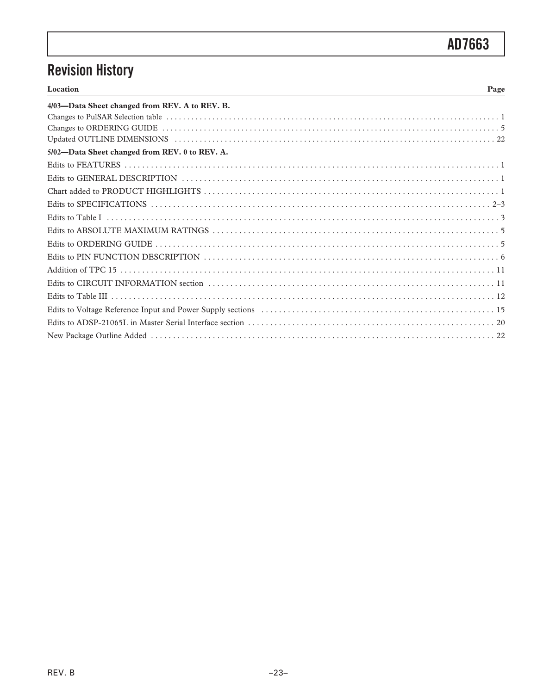# **Revision History**

| Location<br>Page                               |
|------------------------------------------------|
| 4/03-Data Sheet changed from REV. A to REV. B. |
|                                                |
|                                                |
|                                                |
| 5/02-Data Sheet changed from REV. 0 to REV. A. |
|                                                |
|                                                |
|                                                |
|                                                |
|                                                |
|                                                |
|                                                |
|                                                |
|                                                |
|                                                |
|                                                |
|                                                |
|                                                |
|                                                |